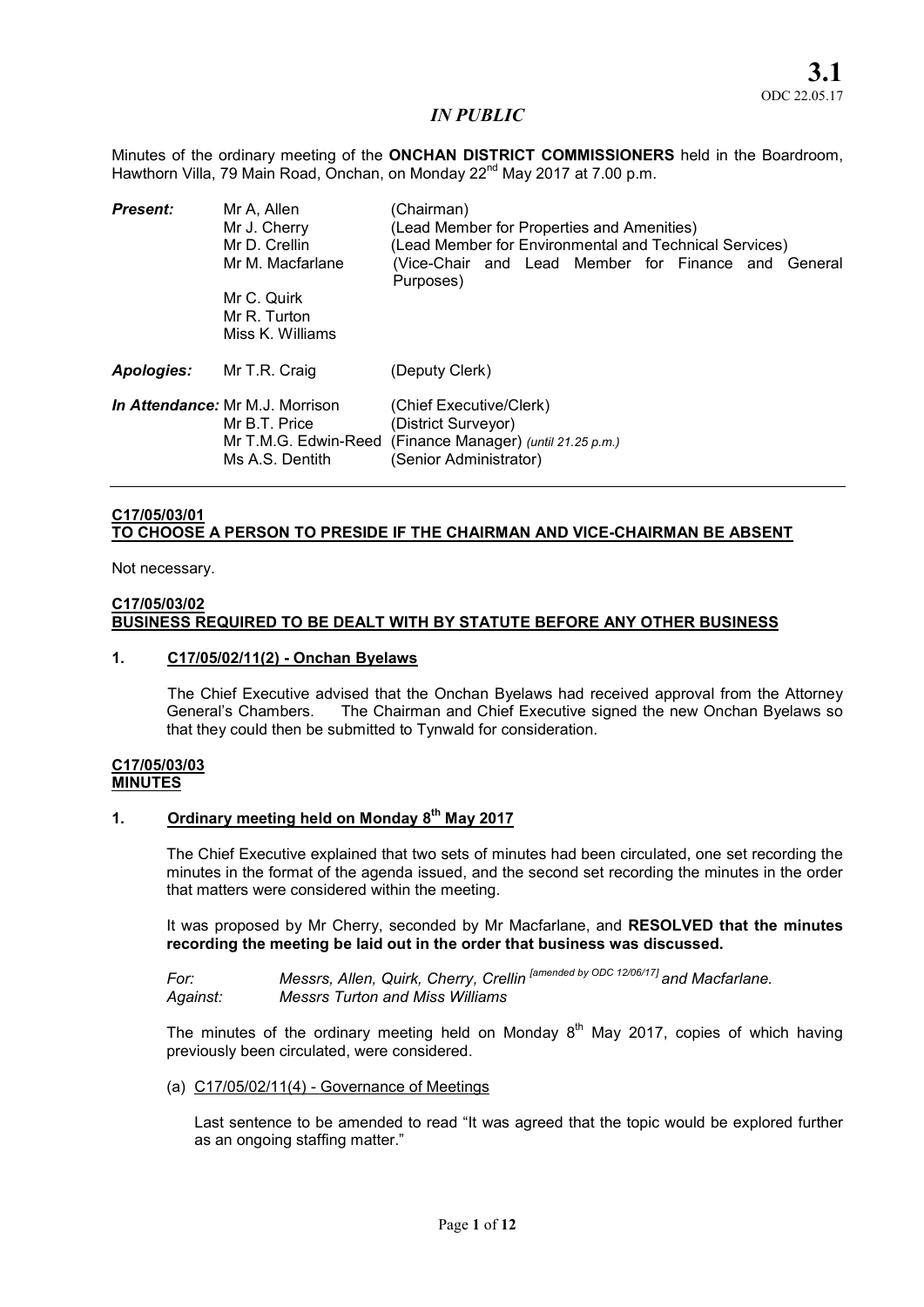Minutes of the ordinary meeting of the **ONCHAN DISTRICT COMMISSIONERS** held in the Boardroom, Hawthorn Villa, 79 Main Road, Onchan, on Monday 22<sup>nd</sup> May 2017 at 7.00 p.m.

| <b>Present:</b>   | Mr A, Allen<br>Mr J. Cherry<br>Mr D. Crellin<br>Mr M. Macfarlane<br>Mr C. Quirk<br>Mr R. Turton<br>Miss K. Williams | (Chairman)<br>(Lead Member for Properties and Amenities)<br>(Lead Member for Environmental and Technical Services)<br>(Vice-Chair and Lead Member for Finance and General<br>Purposes) |  |
|-------------------|---------------------------------------------------------------------------------------------------------------------|----------------------------------------------------------------------------------------------------------------------------------------------------------------------------------------|--|
| <b>Apologies:</b> | Mr T.R. Craig                                                                                                       | (Deputy Clerk)                                                                                                                                                                         |  |
|                   | <b>In Attendance: Mr M.J. Morrison</b><br>Mr B.T. Price<br>Mr T.M.G. Edwin-Reed<br>Ms A.S. Dentith                  | (Chief Executive/Clerk)<br>(District Surveyor)<br>(Finance Manager) (until 21.25 p.m.)<br>(Senior Administrator)                                                                       |  |

# C17/05/03/01 TO CHOOSE A PERSON TO PRESIDE IF THE CHAIRMAN AND VICE-CHAIRMAN BE ABSENT

Not necessary.

#### C17/05/03/02 BUSINESS REQUIRED TO BE DEALT WITH BY STATUTE BEFORE ANY OTHER BUSINESS

#### 1. C17/05/02/11(2) - Onchan Byelaws

The Chief Executive advised that the Onchan Byelaws had received approval from the Attorney General's Chambers. The Chairman and Chief Executive signed the new Onchan Byelaws so that they could then be submitted to Tynwald for consideration.

#### C17/05/03/03 **MINUTES**

# 1. Ordinary meeting held on Monday  $8<sup>th</sup>$  May 2017

The Chief Executive explained that two sets of minutes had been circulated, one set recording the minutes in the format of the agenda issued, and the second set recording the minutes in the order that matters were considered within the meeting.

It was proposed by Mr Cherry, seconded by Mr Macfarlane, and RESOLVED that the minutes recording the meeting be laid out in the order that business was discussed.

*For: Messrs, Allen, Quirk, Cherry, Crellin [amended by ODC 12/06/17] and Macfarlane. Against: Messrs Turton and Miss Williams* 

The minutes of the ordinary meeting held on Monday  $8<sup>th</sup>$  May 2017, copies of which having previously been circulated, were considered.

(a) C17/05/02/11(4) - Governance of Meetings

Last sentence to be amended to read "It was agreed that the topic would be explored further as an ongoing staffing matter."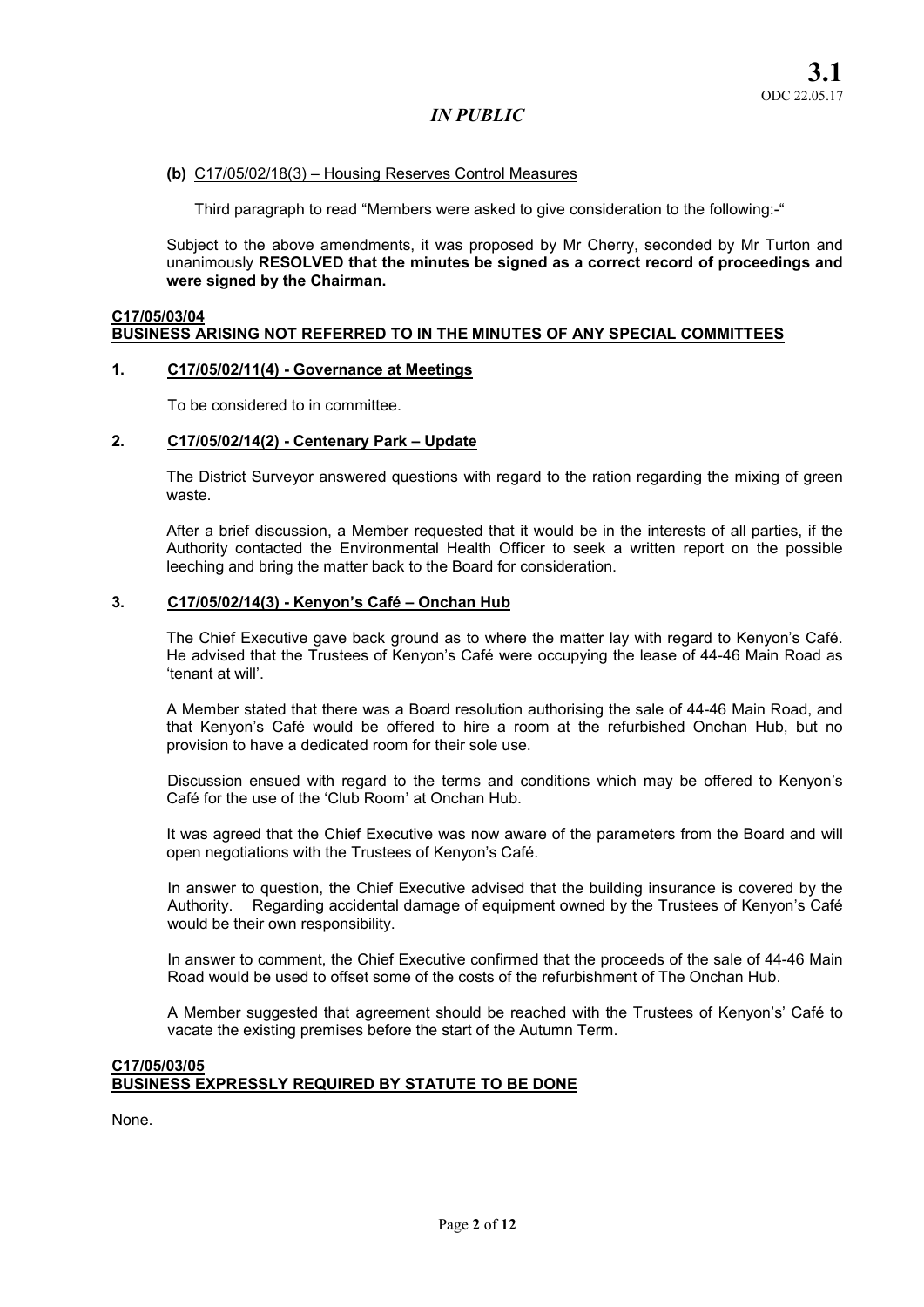#### (b) C17/05/02/18(3) – Housing Reserves Control Measures

Third paragraph to read "Members were asked to give consideration to the following:-"

Subject to the above amendments, it was proposed by Mr Cherry, seconded by Mr Turton and unanimously RESOLVED that the minutes be signed as a correct record of proceedings and were signed by the Chairman.

#### C17/05/03/04 BUSINESS ARISING NOT REFERRED TO IN THE MINUTES OF ANY SPECIAL COMMITTEES

#### 1. C17/05/02/11(4) - Governance at Meetings

To be considered to in committee.

#### 2. C17/05/02/14(2) - Centenary Park – Update

The District Surveyor answered questions with regard to the ration regarding the mixing of green waste.

After a brief discussion, a Member requested that it would be in the interests of all parties, if the Authority contacted the Environmental Health Officer to seek a written report on the possible leeching and bring the matter back to the Board for consideration.

## 3. C17/05/02/14(3) - Kenyon's Café – Onchan Hub

The Chief Executive gave back ground as to where the matter lay with regard to Kenyon's Café. He advised that the Trustees of Kenyon's Café were occupying the lease of 44-46 Main Road as 'tenant at will'.

A Member stated that there was a Board resolution authorising the sale of 44-46 Main Road, and that Kenyon's Café would be offered to hire a room at the refurbished Onchan Hub, but no provision to have a dedicated room for their sole use.

Discussion ensued with regard to the terms and conditions which may be offered to Kenyon's Café for the use of the 'Club Room' at Onchan Hub.

It was agreed that the Chief Executive was now aware of the parameters from the Board and will open negotiations with the Trustees of Kenyon's Café.

In answer to question, the Chief Executive advised that the building insurance is covered by the Authority. Regarding accidental damage of equipment owned by the Trustees of Kenyon's Café would be their own responsibility.

In answer to comment, the Chief Executive confirmed that the proceeds of the sale of 44-46 Main Road would be used to offset some of the costs of the refurbishment of The Onchan Hub.

A Member suggested that agreement should be reached with the Trustees of Kenyon's' Café to vacate the existing premises before the start of the Autumn Term.

## C17/05/03/05 BUSINESS EXPRESSLY REQUIRED BY STATUTE TO BE DONE

None.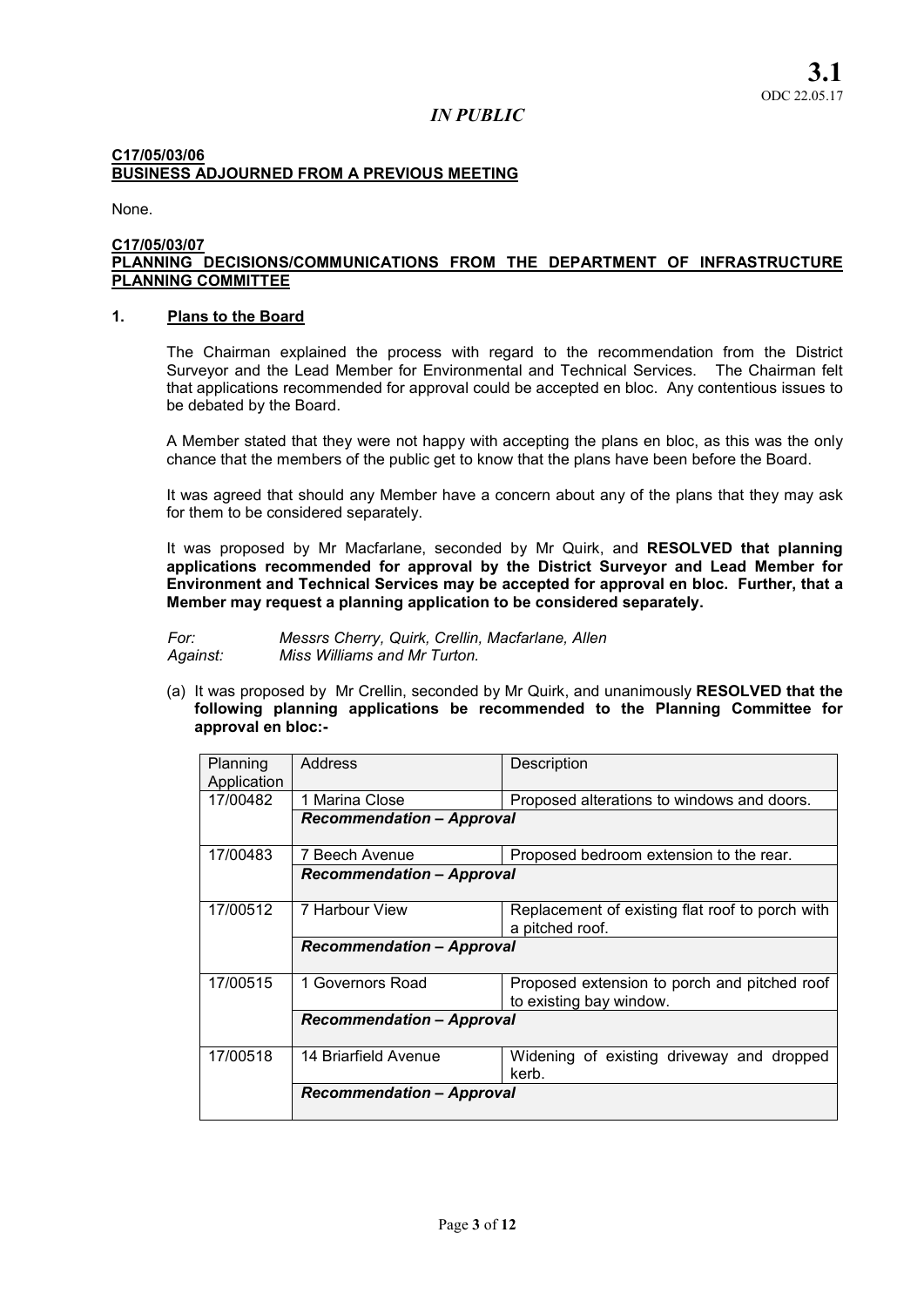# C17/05/03/06 BUSINESS ADJOURNED FROM A PREVIOUS MEETING

None.

#### C17/05/03/07 PLANNING DECISIONS/COMMUNICATIONS FROM THE DEPARTMENT OF INFRASTRUCTURE PLANNING COMMITTEE

## 1. Plans to the Board

The Chairman explained the process with regard to the recommendation from the District Surveyor and the Lead Member for Environmental and Technical Services. The Chairman felt that applications recommended for approval could be accepted en bloc. Any contentious issues to be debated by the Board.

A Member stated that they were not happy with accepting the plans en bloc, as this was the only chance that the members of the public get to know that the plans have been before the Board.

It was agreed that should any Member have a concern about any of the plans that they may ask for them to be considered separately.

It was proposed by Mr Macfarlane, seconded by Mr Quirk, and RESOLVED that planning applications recommended for approval by the District Surveyor and Lead Member for Environment and Technical Services may be accepted for approval en bloc. Further, that a Member may request a planning application to be considered separately.

*For: Messrs Cherry, Quirk, Crellin, Macfarlane, Allen Against: Miss Williams and Mr Turton.* 

(a) It was proposed by Mr Crellin, seconded by Mr Quirk, and unanimously RESOLVED that the following planning applications be recommended to the Planning Committee for approval en bloc:-

| Planning<br>Application | Address                          | Description                                                             |  |
|-------------------------|----------------------------------|-------------------------------------------------------------------------|--|
| 17/00482                | 1 Marina Close                   | Proposed alterations to windows and doors.                              |  |
|                         | <b>Recommendation - Approval</b> |                                                                         |  |
| 17/00483                | 7 Beech Avenue                   | Proposed bedroom extension to the rear.                                 |  |
|                         | <b>Recommendation - Approval</b> |                                                                         |  |
| 17/00512                | 7 Harbour View                   | Replacement of existing flat roof to porch with<br>a pitched roof.      |  |
|                         | <b>Recommendation - Approval</b> |                                                                         |  |
| 17/00515                | 1 Governors Road                 | Proposed extension to porch and pitched roof<br>to existing bay window. |  |
|                         | <b>Recommendation - Approval</b> |                                                                         |  |
| 17/00518                | 14 Briarfield Avenue             | Widening of existing driveway and dropped<br>kerb.                      |  |
|                         | <b>Recommendation – Approval</b> |                                                                         |  |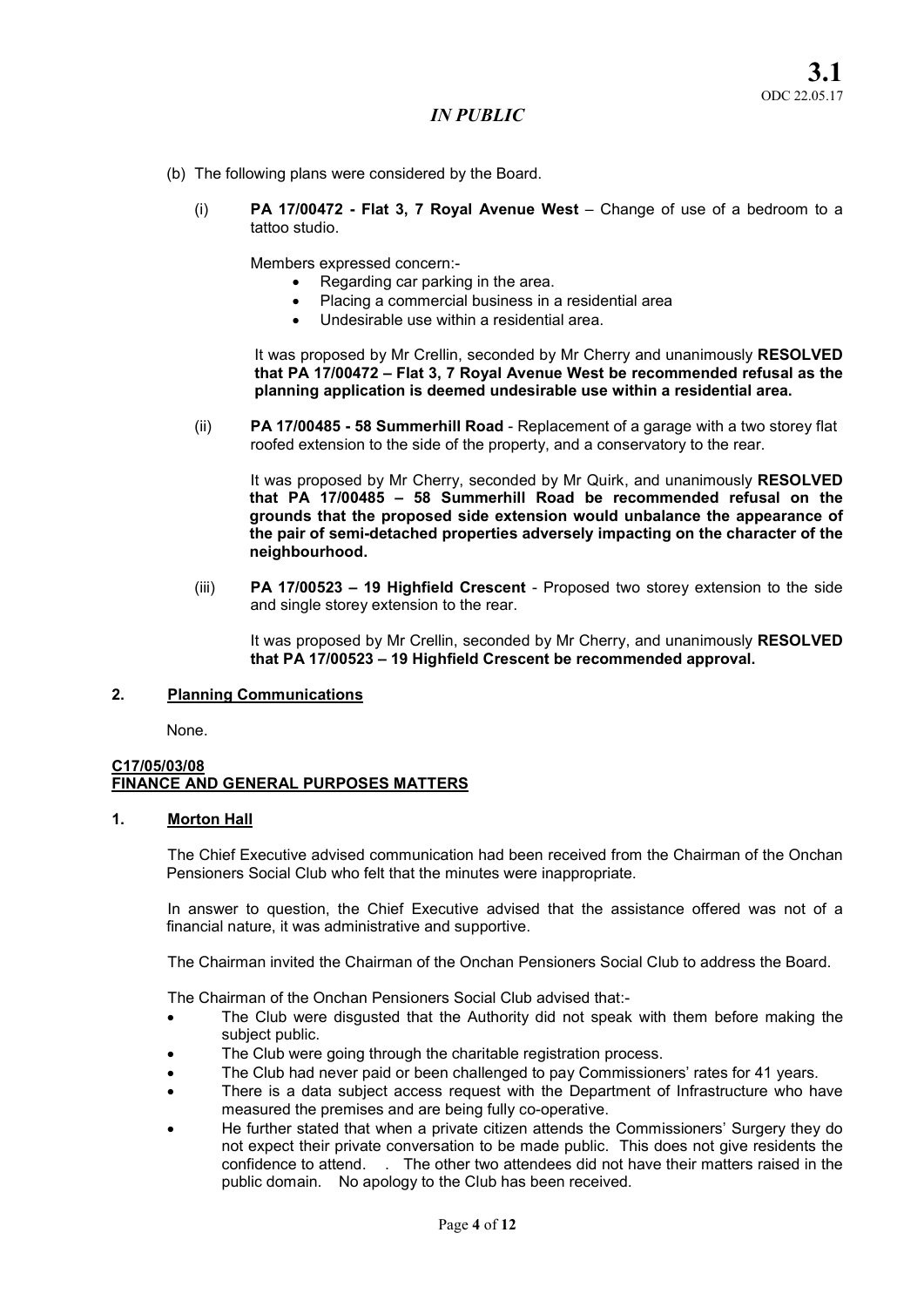- (b) The following plans were considered by the Board.
	- (i) PA 17/00472 Flat 3, 7 Roval Avenue West Change of use of a bedroom to a tattoo studio.

Members expressed concern:-

- Regarding car parking in the area.
- Placing a commercial business in a residential area
- Undesirable use within a residential area.

It was proposed by Mr Crellin, seconded by Mr Cherry and unanimously RESOLVED that PA 17/00472 – Flat 3, 7 Royal Avenue West be recommended refusal as the planning application is deemed undesirable use within a residential area.

(ii) PA 17/00485 - 58 Summerhill Road - Replacement of a garage with a two storey flat roofed extension to the side of the property, and a conservatory to the rear.

It was proposed by Mr Cherry, seconded by Mr Quirk, and unanimously RESOLVED that PA 17/00485 – 58 Summerhill Road be recommended refusal on the grounds that the proposed side extension would unbalance the appearance of the pair of semi-detached properties adversely impacting on the character of the neighbourhood.

(iii) PA 17/00523 – 19 Highfield Crescent - Proposed two storey extension to the side and single storey extension to the rear.

It was proposed by Mr Crellin, seconded by Mr Cherry, and unanimously RESOLVED that PA 17/00523 – 19 Highfield Crescent be recommended approval.

## 2. Planning Communications

None.

#### C17/05/03/08 FINANCE AND GENERAL PURPOSES MATTERS

## 1. Morton Hall

The Chief Executive advised communication had been received from the Chairman of the Onchan Pensioners Social Club who felt that the minutes were inappropriate.

In answer to question, the Chief Executive advised that the assistance offered was not of a financial nature, it was administrative and supportive.

The Chairman invited the Chairman of the Onchan Pensioners Social Club to address the Board.

The Chairman of the Onchan Pensioners Social Club advised that:-

- The Club were disgusted that the Authority did not speak with them before making the subject public.
- The Club were going through the charitable registration process.
- The Club had never paid or been challenged to pay Commissioners' rates for 41 years.
- There is a data subject access request with the Department of Infrastructure who have measured the premises and are being fully co-operative.
- He further stated that when a private citizen attends the Commissioners' Surgery they do not expect their private conversation to be made public. This does not give residents the confidence to attend. . The other two attendees did not have their matters raised in the public domain. No apology to the Club has been received.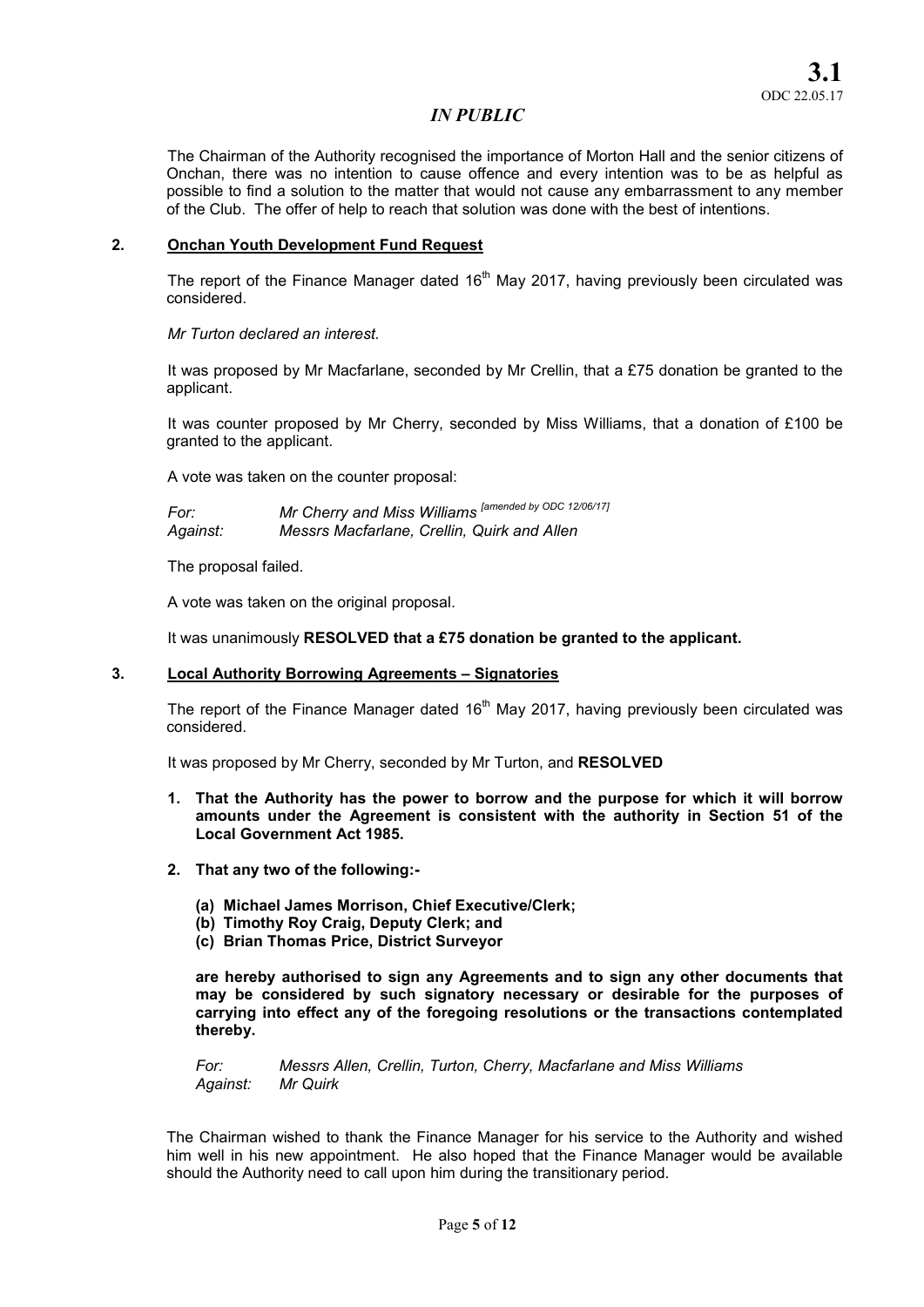The Chairman of the Authority recognised the importance of Morton Hall and the senior citizens of Onchan, there was no intention to cause offence and every intention was to be as helpful as possible to find a solution to the matter that would not cause any embarrassment to any member of the Club. The offer of help to reach that solution was done with the best of intentions.

#### 2. Onchan Youth Development Fund Request

The report of the Finance Manager dated  $16<sup>th</sup>$  May 2017, having previously been circulated was considered.

*Mr Turton declared an interest.* 

It was proposed by Mr Macfarlane, seconded by Mr Crellin, that a £75 donation be granted to the applicant.

It was counter proposed by Mr Cherry, seconded by Miss Williams, that a donation of £100 be granted to the applicant.

A vote was taken on the counter proposal:

*For: Mr Cherry and Miss Williams [amended by ODC 12/06/17] Against: Messrs Macfarlane, Crellin, Quirk and Allen* 

The proposal failed.

A vote was taken on the original proposal.

It was unanimously RESOLVED that a £75 donation be granted to the applicant.

## 3. Local Authority Borrowing Agreements – Signatories

The report of the Finance Manager dated  $16<sup>th</sup>$  May 2017, having previously been circulated was considered.

It was proposed by Mr Cherry, seconded by Mr Turton, and RESOLVED

- 1. That the Authority has the power to borrow and the purpose for which it will borrow amounts under the Agreement is consistent with the authority in Section 51 of the Local Government Act 1985.
- 2. That any two of the following:-
	- (a) Michael James Morrison, Chief Executive/Clerk;
	- (b) Timothy Roy Craig, Deputy Clerk; and
	- (c) Brian Thomas Price, District Surveyor

are hereby authorised to sign any Agreements and to sign any other documents that may be considered by such signatory necessary or desirable for the purposes of carrying into effect any of the foregoing resolutions or the transactions contemplated thereby.

*For: Messrs Allen, Crellin, Turton, Cherry, Macfarlane and Miss Williams Against: Mr Quirk* 

The Chairman wished to thank the Finance Manager for his service to the Authority and wished him well in his new appointment. He also hoped that the Finance Manager would be available should the Authority need to call upon him during the transitionary period.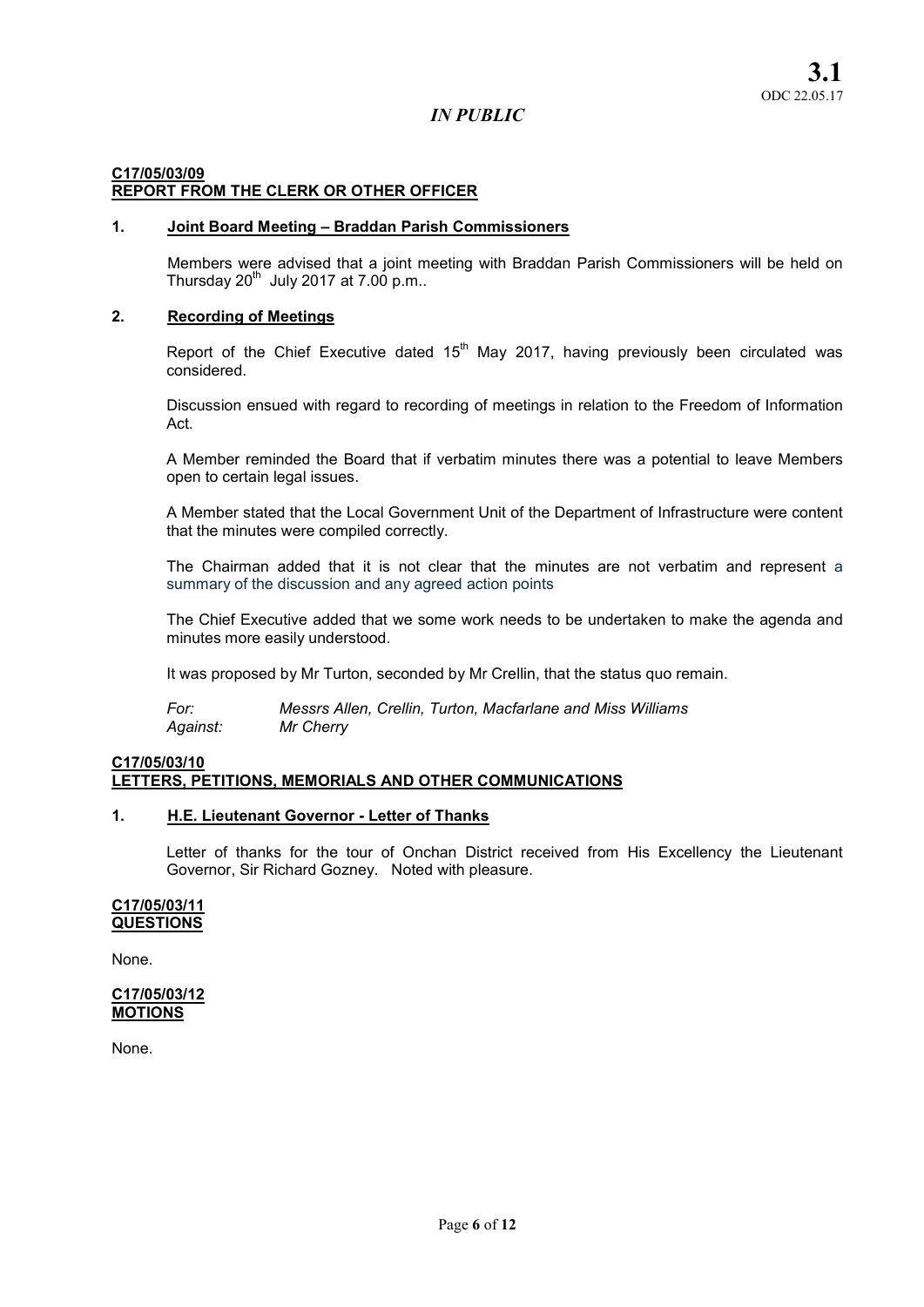# C17/05/03/09 REPORT FROM THE CLERK OR OTHER OFFICER

## 1. Joint Board Meeting – Braddan Parish Commissioners

Members were advised that a joint meeting with Braddan Parish Commissioners will be held on Thursday  $20^{th}$  July 2017 at 7.00 p.m..

# 2. Recording of Meetings

Report of the Chief Executive dated  $15<sup>th</sup>$  May 2017, having previously been circulated was considered.

Discussion ensued with regard to recording of meetings in relation to the Freedom of Information Act.

A Member reminded the Board that if verbatim minutes there was a potential to leave Members open to certain legal issues.

A Member stated that the Local Government Unit of the Department of Infrastructure were content that the minutes were compiled correctly.

The Chairman added that it is not clear that the minutes are not verbatim and represent a summary of the discussion and any agreed action points

The Chief Executive added that we some work needs to be undertaken to make the agenda and minutes more easily understood.

It was proposed by Mr Turton, seconded by Mr Crellin, that the status quo remain.

*For: Messrs Allen, Crellin, Turton, Macfarlane and Miss Williams Against: Mr Cherry* 

## C17/05/03/10 LETTERS, PETITIONS, MEMORIALS AND OTHER COMMUNICATIONS

# 1. H.E. Lieutenant Governor - Letter of Thanks

Letter of thanks for the tour of Onchan District received from His Excellency the Lieutenant Governor, Sir Richard Gozney. Noted with pleasure.

#### C17/05/03/11 **QUESTIONS**

None.

## C17/05/03/12 **MOTIONS**

None.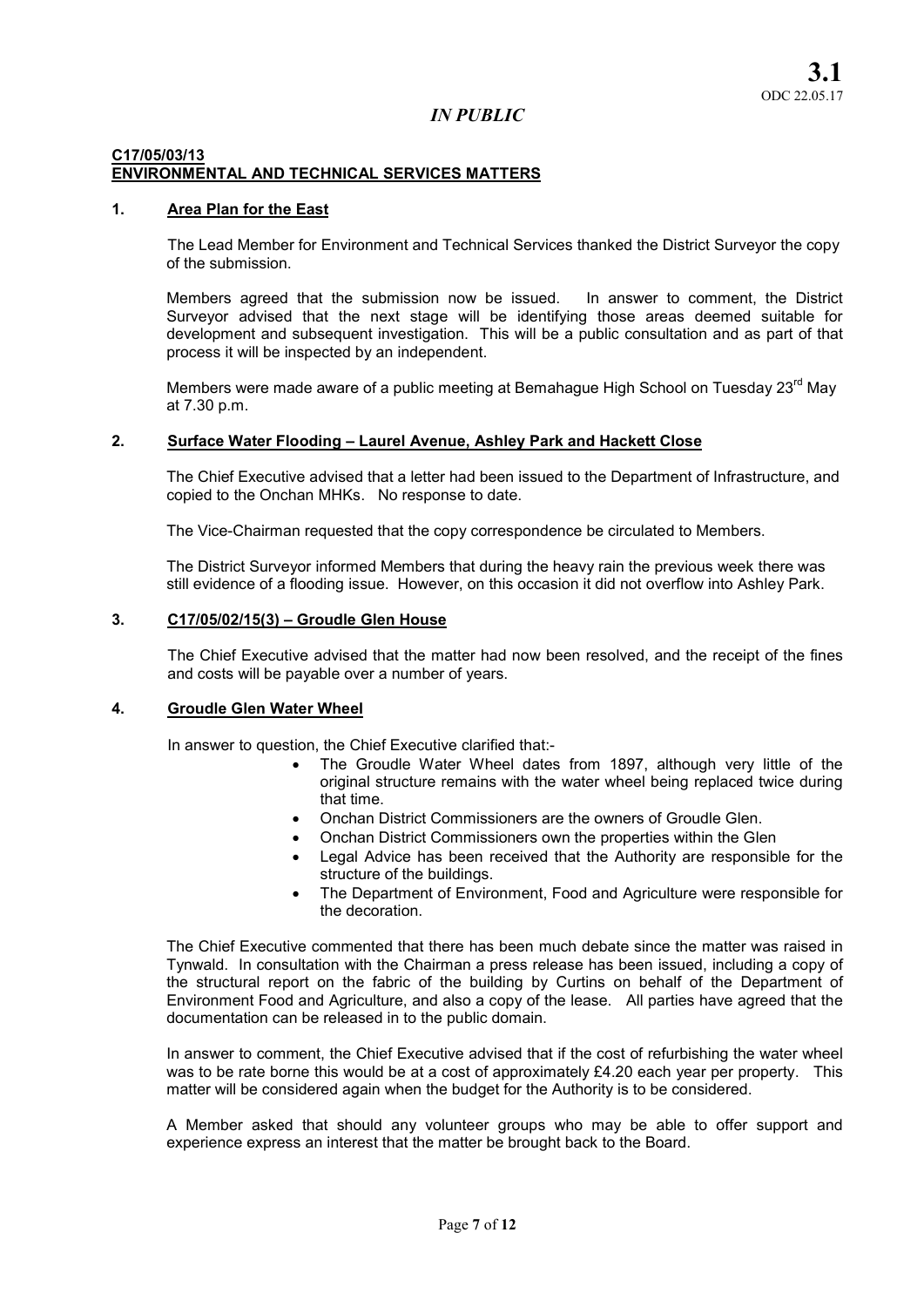#### C17/05/03/13 ENVIRONMENTAL AND TECHNICAL SERVICES MATTERS

## 1. Area Plan for the East

The Lead Member for Environment and Technical Services thanked the District Surveyor the copy of the submission.

Members agreed that the submission now be issued. In answer to comment, the District Surveyor advised that the next stage will be identifying those areas deemed suitable for development and subsequent investigation. This will be a public consultation and as part of that process it will be inspected by an independent.

Members were made aware of a public meeting at Bemahague High School on Tuesday 23<sup>rd</sup> May at 7.30 p.m.

#### 2. Surface Water Flooding – Laurel Avenue, Ashley Park and Hackett Close

The Chief Executive advised that a letter had been issued to the Department of Infrastructure, and copied to the Onchan MHKs. No response to date.

The Vice-Chairman requested that the copy correspondence be circulated to Members.

The District Surveyor informed Members that during the heavy rain the previous week there was still evidence of a flooding issue. However, on this occasion it did not overflow into Ashley Park.

## 3. C17/05/02/15(3) – Groudle Glen House

The Chief Executive advised that the matter had now been resolved, and the receipt of the fines and costs will be payable over a number of years.

#### 4. Groudle Glen Water Wheel

In answer to question, the Chief Executive clarified that:-

- The Groudle Water Wheel dates from 1897, although very little of the original structure remains with the water wheel being replaced twice during that time.
- Onchan District Commissioners are the owners of Groudle Glen.
- Onchan District Commissioners own the properties within the Glen
- Legal Advice has been received that the Authority are responsible for the structure of the buildings.
- The Department of Environment, Food and Agriculture were responsible for the decoration.

The Chief Executive commented that there has been much debate since the matter was raised in Tynwald. In consultation with the Chairman a press release has been issued, including a copy of the structural report on the fabric of the building by Curtins on behalf of the Department of Environment Food and Agriculture, and also a copy of the lease. All parties have agreed that the documentation can be released in to the public domain.

In answer to comment, the Chief Executive advised that if the cost of refurbishing the water wheel was to be rate borne this would be at a cost of approximately £4.20 each year per property. This matter will be considered again when the budget for the Authority is to be considered.

A Member asked that should any volunteer groups who may be able to offer support and experience express an interest that the matter be brought back to the Board.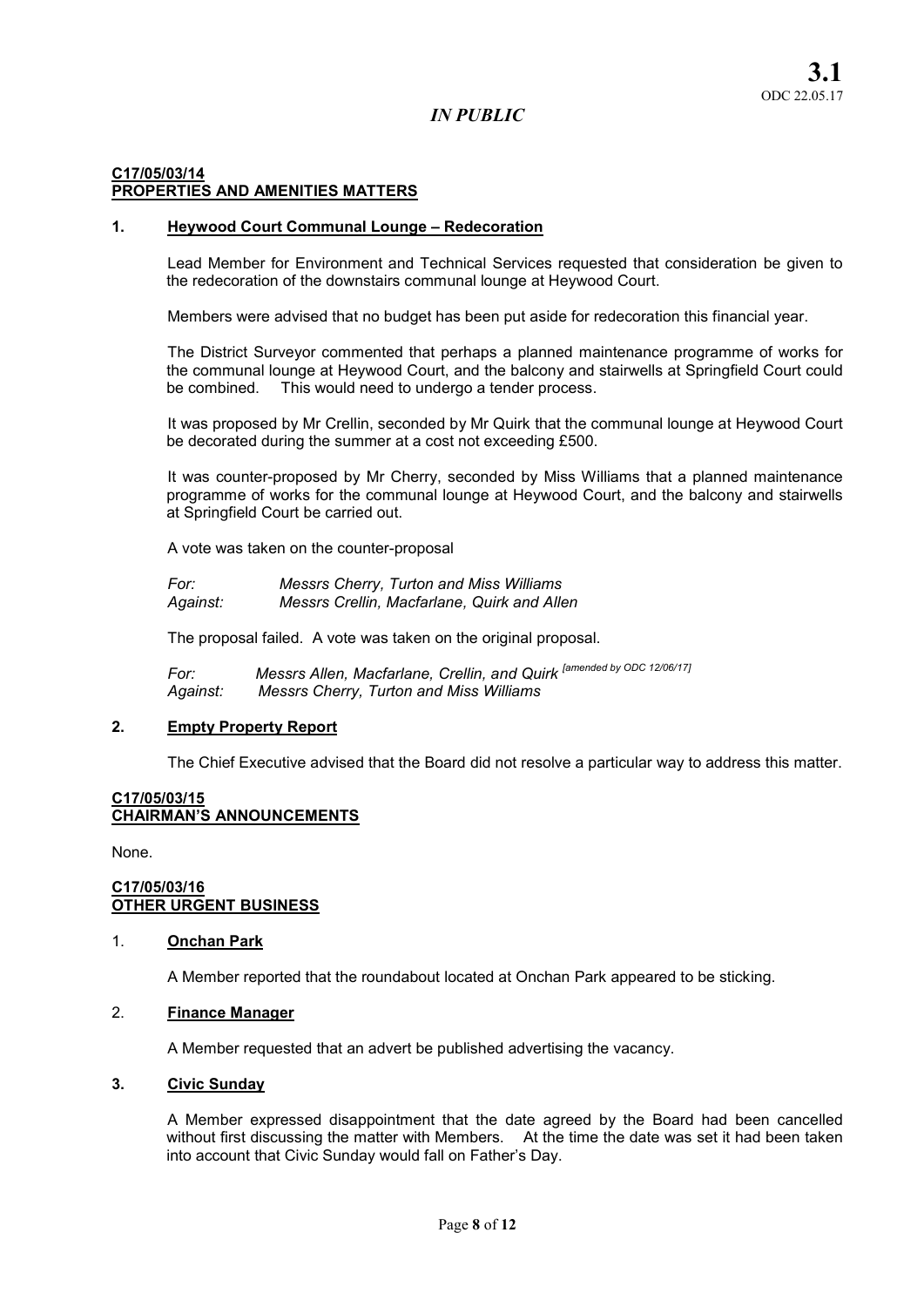# C17/05/03/14 PROPERTIES AND AMENITIES MATTERS

#### 1. Heywood Court Communal Lounge – Redecoration

Lead Member for Environment and Technical Services requested that consideration be given to the redecoration of the downstairs communal lounge at Heywood Court.

Members were advised that no budget has been put aside for redecoration this financial year.

The District Surveyor commented that perhaps a planned maintenance programme of works for the communal lounge at Heywood Court, and the balcony and stairwells at Springfield Court could be combined. This would need to undergo a tender process.

It was proposed by Mr Crellin, seconded by Mr Quirk that the communal lounge at Heywood Court be decorated during the summer at a cost not exceeding £500.

It was counter-proposed by Mr Cherry, seconded by Miss Williams that a planned maintenance programme of works for the communal lounge at Heywood Court, and the balcony and stairwells at Springfield Court be carried out.

A vote was taken on the counter-proposal

*For: Messrs Cherry, Turton and Miss Williams Against: Messrs Crellin, Macfarlane, Quirk and Allen* 

The proposal failed. A vote was taken on the original proposal.

*For:* Messrs Allen, Macfarlane, Crellin, and Quirk <sup>[amended by ODC 12/06/17]<br>Against: Messrs Cherry, Turton and Miss Williams</sup> *Against: Messrs Cherry, Turton and Miss Williams* 

## 2. Empty Property Report

The Chief Executive advised that the Board did not resolve a particular way to address this matter.

#### C17/05/03/15 CHAIRMAN'S ANNOUNCEMENTS

None.

## C17/05/03/16 OTHER URGENT BUSINESS

#### 1. Onchan Park

A Member reported that the roundabout located at Onchan Park appeared to be sticking.

# 2. Finance Manager

A Member requested that an advert be published advertising the vacancy.

#### 3. Civic Sunday

A Member expressed disappointment that the date agreed by the Board had been cancelled without first discussing the matter with Members. At the time the date was set it had been taken into account that Civic Sunday would fall on Father's Day.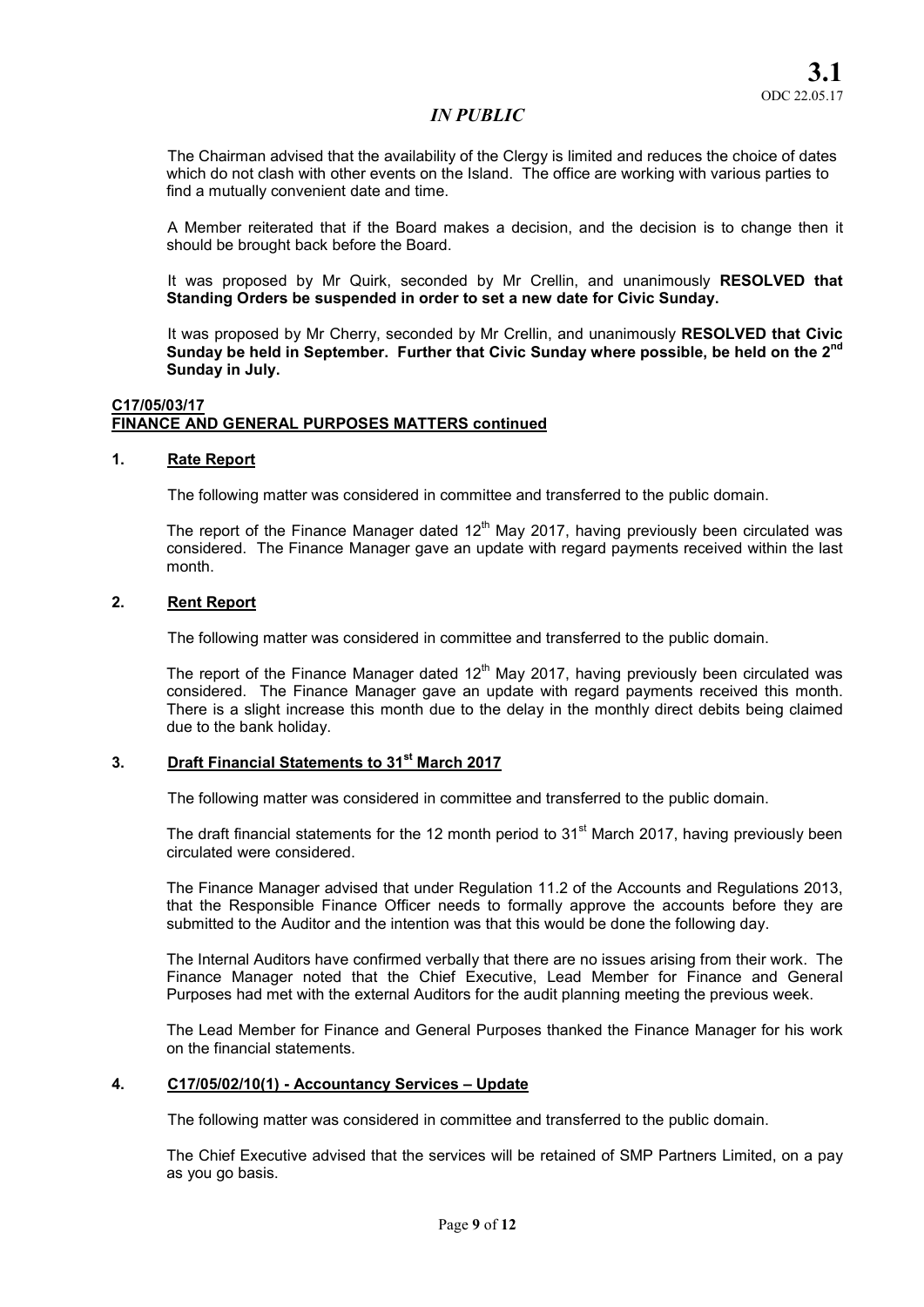The Chairman advised that the availability of the Clergy is limited and reduces the choice of dates which do not clash with other events on the Island. The office are working with various parties to find a mutually convenient date and time.

A Member reiterated that if the Board makes a decision, and the decision is to change then it should be brought back before the Board.

It was proposed by Mr Quirk, seconded by Mr Crellin, and unanimously RESOLVED that Standing Orders be suspended in order to set a new date for Civic Sunday.

It was proposed by Mr Cherry, seconded by Mr Crellin, and unanimously RESOLVED that Civic Sunday be held in September. Further that Civic Sunday where possible, be held on the  $2^{nd}$ Sunday in July.

#### C17/05/03/17 FINANCE AND GENERAL PURPOSES MATTERS continued

#### 1. Rate Report

The following matter was considered in committee and transferred to the public domain.

The report of the Finance Manager dated  $12<sup>th</sup>$  May 2017, having previously been circulated was considered. The Finance Manager gave an update with regard payments received within the last month.

## 2. Rent Report

The following matter was considered in committee and transferred to the public domain.

The report of the Finance Manager dated  $12<sup>th</sup>$  May 2017, having previously been circulated was considered. The Finance Manager gave an update with regard payments received this month. There is a slight increase this month due to the delay in the monthly direct debits being claimed due to the bank holiday.

# 3. Draft Financial Statements to 31<sup>st</sup> March 2017

The following matter was considered in committee and transferred to the public domain.

The draft financial statements for the 12 month period to  $31<sup>st</sup>$  March 2017, having previously been circulated were considered.

The Finance Manager advised that under Regulation 11.2 of the Accounts and Regulations 2013, that the Responsible Finance Officer needs to formally approve the accounts before they are submitted to the Auditor and the intention was that this would be done the following day.

The Internal Auditors have confirmed verbally that there are no issues arising from their work. The Finance Manager noted that the Chief Executive, Lead Member for Finance and General Purposes had met with the external Auditors for the audit planning meeting the previous week.

The Lead Member for Finance and General Purposes thanked the Finance Manager for his work on the financial statements.

#### 4. C17/05/02/10(1) - Accountancy Services – Update

The following matter was considered in committee and transferred to the public domain.

The Chief Executive advised that the services will be retained of SMP Partners Limited, on a pay as you go basis.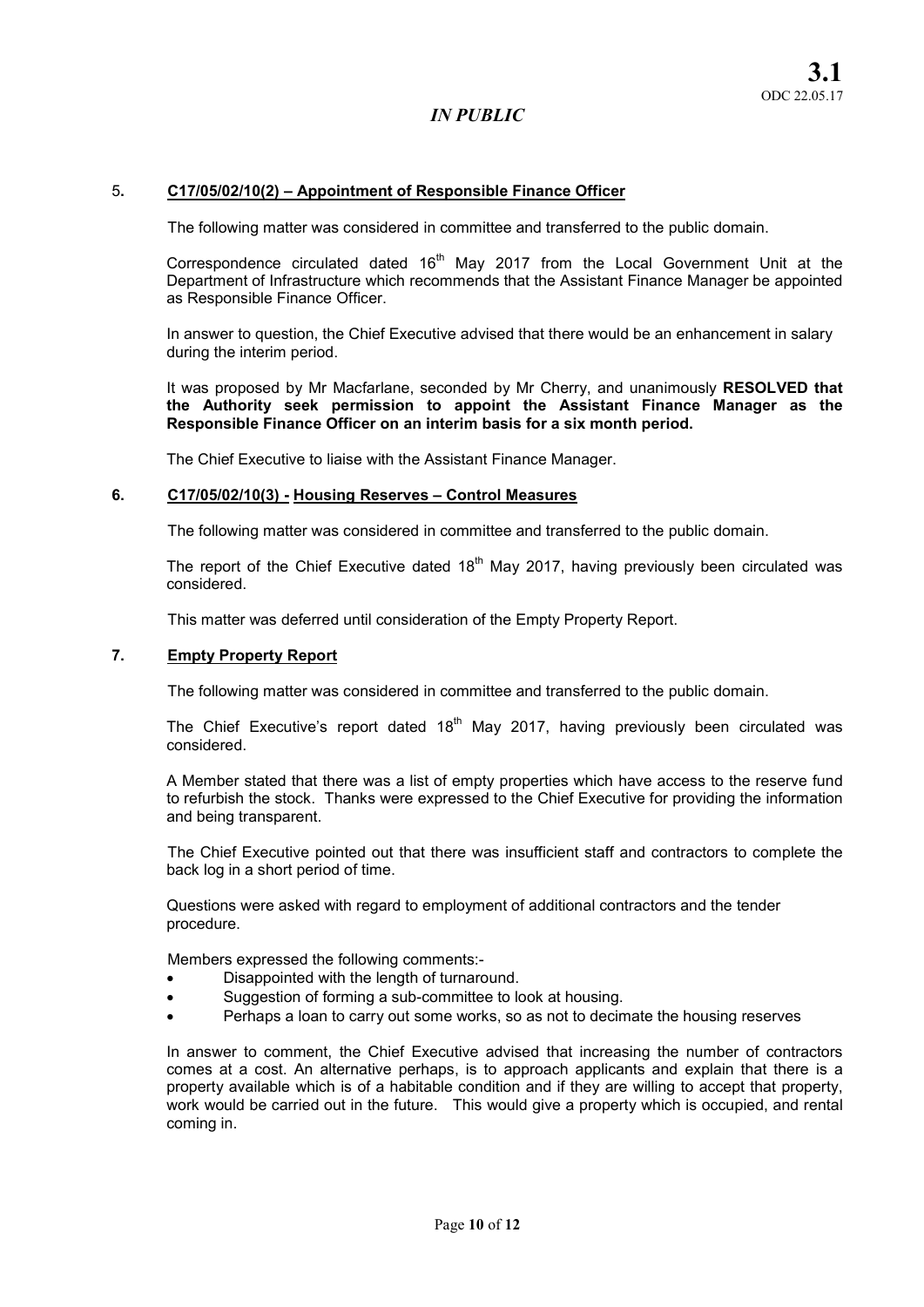#### 5. C17/05/02/10(2) – Appointment of Responsible Finance Officer

The following matter was considered in committee and transferred to the public domain.

Correspondence circulated dated  $16<sup>th</sup>$  May 2017 from the Local Government Unit at the Department of Infrastructure which recommends that the Assistant Finance Manager be appointed as Responsible Finance Officer.

In answer to question, the Chief Executive advised that there would be an enhancement in salary during the interim period.

It was proposed by Mr Macfarlane, seconded by Mr Cherry, and unanimously RESOLVED that the Authority seek permission to appoint the Assistant Finance Manager as the Responsible Finance Officer on an interim basis for a six month period.

The Chief Executive to liaise with the Assistant Finance Manager.

#### 6. C17/05/02/10(3) - Housing Reserves – Control Measures

The following matter was considered in committee and transferred to the public domain.

The report of the Chief Executive dated  $18<sup>th</sup>$  May 2017, having previously been circulated was considered.

This matter was deferred until consideration of the Empty Property Report.

#### 7. Empty Property Report

The following matter was considered in committee and transferred to the public domain.

The Chief Executive's report dated  $18<sup>th</sup>$  May 2017, having previously been circulated was considered.

A Member stated that there was a list of empty properties which have access to the reserve fund to refurbish the stock. Thanks were expressed to the Chief Executive for providing the information and being transparent.

The Chief Executive pointed out that there was insufficient staff and contractors to complete the back log in a short period of time.

Questions were asked with regard to employment of additional contractors and the tender procedure.

Members expressed the following comments:-

- Disappointed with the length of turnaround.
- Suggestion of forming a sub-committee to look at housing.
- Perhaps a loan to carry out some works, so as not to decimate the housing reserves

In answer to comment, the Chief Executive advised that increasing the number of contractors comes at a cost. An alternative perhaps, is to approach applicants and explain that there is a property available which is of a habitable condition and if they are willing to accept that property, work would be carried out in the future. This would give a property which is occupied, and rental coming in.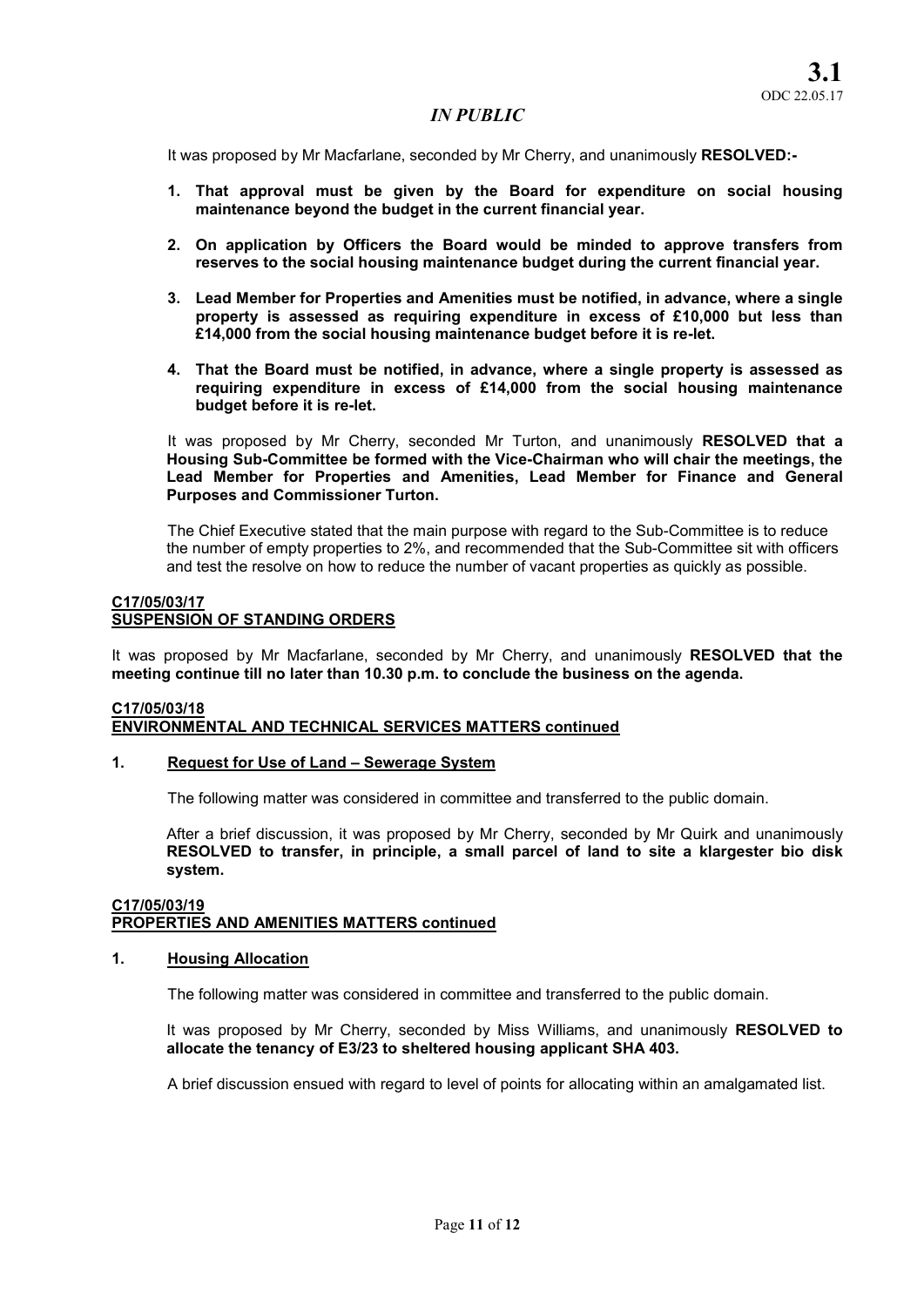It was proposed by Mr Macfarlane, seconded by Mr Cherry, and unanimously RESOLVED:-

- 1. That approval must be given by the Board for expenditure on social housing maintenance beyond the budget in the current financial year.
- 2. On application by Officers the Board would be minded to approve transfers from reserves to the social housing maintenance budget during the current financial year.
- 3. Lead Member for Properties and Amenities must be notified, in advance, where a single property is assessed as requiring expenditure in excess of £10,000 but less than £14,000 from the social housing maintenance budget before it is re-let.
- 4. That the Board must be notified, in advance, where a single property is assessed as requiring expenditure in excess of £14,000 from the social housing maintenance budget before it is re-let.

It was proposed by Mr Cherry, seconded Mr Turton, and unanimously RESOLVED that a Housing Sub-Committee be formed with the Vice-Chairman who will chair the meetings, the Lead Member for Properties and Amenities, Lead Member for Finance and General Purposes and Commissioner Turton.

The Chief Executive stated that the main purpose with regard to the Sub-Committee is to reduce the number of empty properties to 2%, and recommended that the Sub-Committee sit with officers and test the resolve on how to reduce the number of vacant properties as quickly as possible.

## C17/05/03/17 SUSPENSION OF STANDING ORDERS

It was proposed by Mr Macfarlane, seconded by Mr Cherry, and unanimously RESOLVED that the meeting continue till no later than 10.30 p.m. to conclude the business on the agenda.

#### C17/05/03/18 ENVIRONMENTAL AND TECHNICAL SERVICES MATTERS continued

#### 1. Request for Use of Land – Sewerage System

The following matter was considered in committee and transferred to the public domain.

After a brief discussion, it was proposed by Mr Cherry, seconded by Mr Quirk and unanimously RESOLVED to transfer, in principle, a small parcel of land to site a klargester bio disk system.

#### C17/05/03/19 PROPERTIES AND AMENITIES MATTERS continued

#### 1. Housing Allocation

The following matter was considered in committee and transferred to the public domain.

It was proposed by Mr Cherry, seconded by Miss Williams, and unanimously RESOLVED to allocate the tenancy of E3/23 to sheltered housing applicant SHA 403.

A brief discussion ensued with regard to level of points for allocating within an amalgamated list.